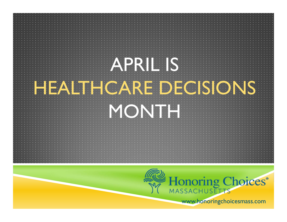

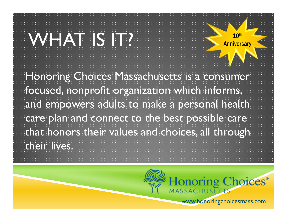Honoring Choices Massachusetts is a consumer focused, nonprofit organization which informs, and empowers adults to make a personal health care plan and connect to the best possible care that honors their values and choices, all through their lives.  $WHA$ T IS IT?  $\frac{10^{th}}{Amiversary}$ 

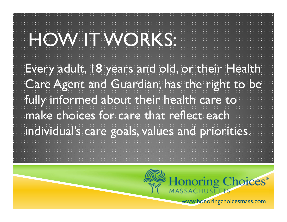Every adult, 18 years and old, or their Health Care Agent and Guardian, has the right to be fully informed about their health care to make choices for care that reflect each individual's care goals, values and priorities. HOW IT WORKS:

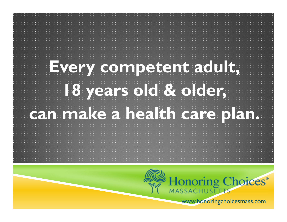

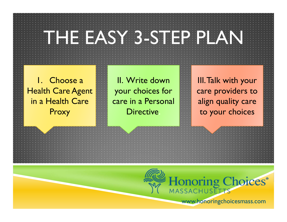## THE EASY 3-STEP PLAN

1. Choose a Health Care Agent in a Health Care Proxy

II. Write down your choices for care in a Personal Directive.

III. Talk with your care providers to align quality care to your choices

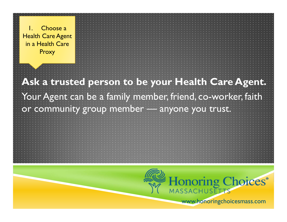**Ask a trusted person to be your Health Care Agent.**  Your Agent can be a family member, friend, co-worker, faith or community group member — anyone you trust.

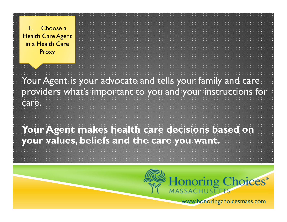Your Agent is your advocate and tells your family and care providers what's important to you and your instructions for care.

**Your Agent makes health care decisions based on your values, beliefs and the care you want.**

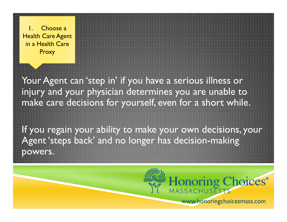Your Agent can 'step in' if you have a serious illness or injury and your physician determines you are unable to make care decisions for yourself, even for a short while.

If you regain your ability to make your own decisions, your Agent 'steps back' and no longer has decision-making powers.

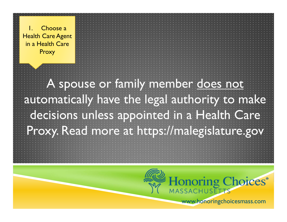A spouse or family member does not automatically have the legal authority to make decisions unless appointed in a Health Care Proxy. Read more at https://malegislature.gov

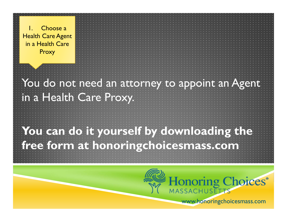You do not need an attorney to appoint an Agent in a Health Care Proxy.

**You can do it yourself by downloading the free form at honoringchoicesmass.com**

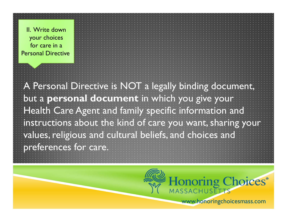II. Write down your choices for care in a Personal Directive.

A Personal Directive is NOT a legally binding document, but a **personal document** in which you give your Health Care Agent and family specific information and instructions about the kind of care you want, sharing your values, religious and cultural beliefs, and choices and preferences for care.

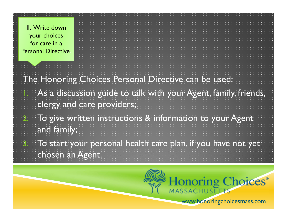II. Write down your choices for care in a Personal Directive.

1.

2.

3.

The Honoring Choices Personal Directive can be used: As a discussion guide to talk with your Agent, family, friends, clergy and care providers;

 To give written instructions & information to your Agent and family;

 To start your personal health care plan, if you have not yet chosen an Agent.

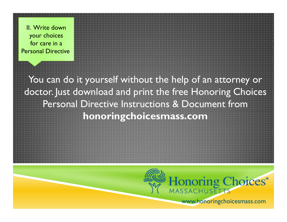II. Write down your choices for care in a Personal Directive.

You can do it yourself without the help of an attorney or doctor. Just download and print the free Honoring Choices Personal Directive Instructions & Document from **honoringchoicesmass.com**

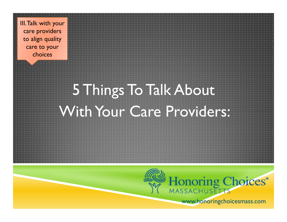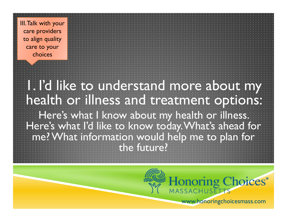## 1. I'd like to understand more about my health or illness and treatment options:

Here's what I know about my health or illness. Here's what I'd like to know today. What's ahead for me? What information would help me to plan for the future?

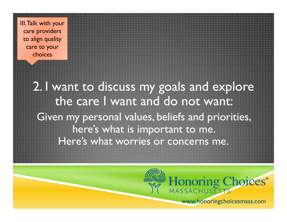> 2. I want to discuss my goals and explore the care I want and do not want: Given my personal values, beliefs and priorities,

here's what is important to me.

Here's what worries or concerns me.

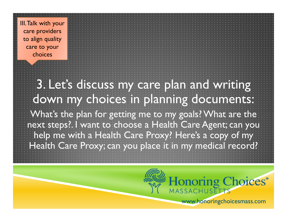> 3. Let's discuss my care plan and writing down my choices in planning documents: What's the plan for getting me to my goals? What are the next steps?. I want to choose a Health Care Agent; can you help me with a Health Care Proxy? Here's a copy of my Health Care Proxy; can you place it in my medical record?

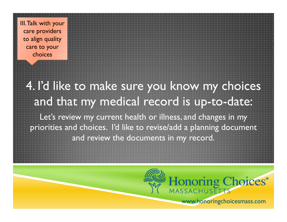## 4. I'd like to make sure you know my choices and that my medical record is up-to-date:

Let's review my current health or illness, and changes in my priorities and choices. I'd like to revise/add a planning document and review the documents in my record.

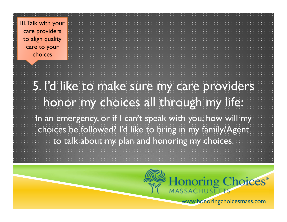## 5. I'd like to make sure my care providers honor my choices all through my life:

In an emergency, or if I can't speak with you, how will my choices be followed? I'd like to bring in my family/Agent to talk about my plan and honoring my choices.